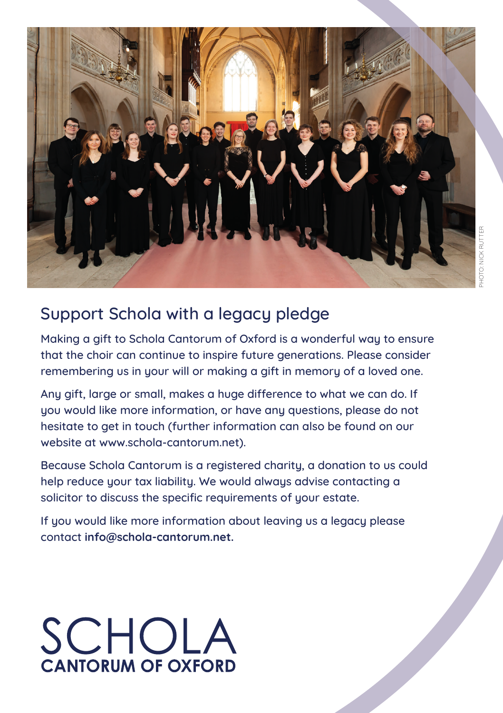

### Support Schola with a legacy pledge

Making a gift to Schola Cantorum of Oxford is a wonderful way to ensure that the choir can continue to inspire future generations. Please consider remembering us in your will or making a gift in memory of a loved one.

Any gift, large or small, makes a huge difference to what we can do. If you would like more information, or have any questions, please do not hesitate to get in touch (further information can also be found on our website at www.schola-cantorum.net).

Because Schola Cantorum is a registered charity, a donation to us could help reduce your tax liability. We would always advise contacting a solicitor to discuss the specific requirements of your estate.

If you would like more information about leaving us a legacy please contact **info@schola-cantorum.net.**

# **SCHOLA**<br>CANTORUM OF OXFORD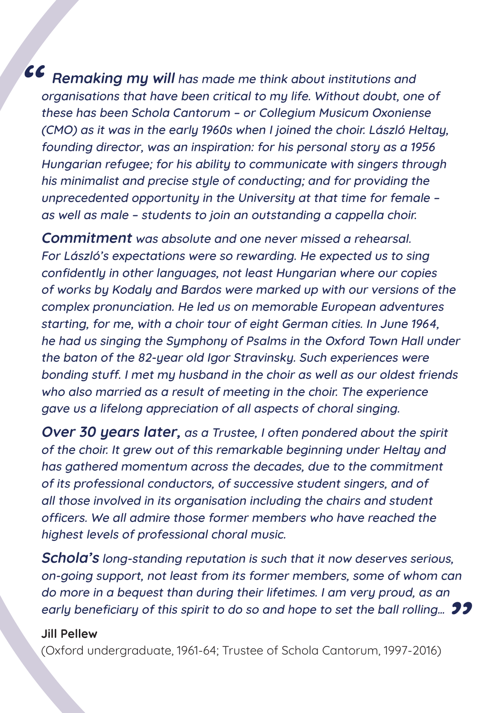**CC** Remaking my will has made me think about institutions and organisations that have been critical to my life. Without doubt, one of these has been Schola Cantorum – or Collegium Musicum Oxoniense (CMO) as it was in the early 1960s when I joined the choir. László Heltay, founding director, was an inspiration: for his personal story as a 1956 Hungarian refugee; for his ability to communicate with singers through his minimalist and precise stule of conducting; and for providing the unprecedented opportunity in the University at that time for female – as well as male – students to join an outstanding a cappella choir.

**Commitment** was absolute and one never missed a rehearsal. For László's expectations were so rewarding. He expected us to sing confidently in other languages, not least Hungarian where our copies of works by Kodaly and Bardos were marked up with our versions of the complex pronunciation. He led us on memorable European adventures starting, for me, with a choir tour of eight German cities. In June 1964, he had us singing the Symphony of Psalms in the Oxford Town Hall under the baton of the 82-year old Igor Stravinsky. Such experiences were bonding stuff. I met my husband in the choir as well as our oldest friends who also married as a result of meeting in the choir. The experience gave us a lifelong appreciation of all aspects of choral singing.

**Over 30 years later,** as a Trustee, I often pondered about the spirit of the choir. It grew out of this remarkable beginning under Heltay and has gathered momentum across the decades, due to the commitment of its professional conductors, of successive student singers, and of all those involved in its organisation including the chairs and student officers. We all admire those former members who have reached the highest levels of professional choral music.

early beneficiary of this spirit to do so and hope to set the ball rolling…  $\bm{\mathfrak{D}}$ **Schola's** long-standing reputation is such that it now deserves serious, on-going support, not least from its former members, some of whom can do more in a bequest than during their lifetimes. I am very proud, as an

#### **Jill Pellew**

(Oxford undergraduate, 1961-64; Trustee of Schola Cantorum, 1997-2016)